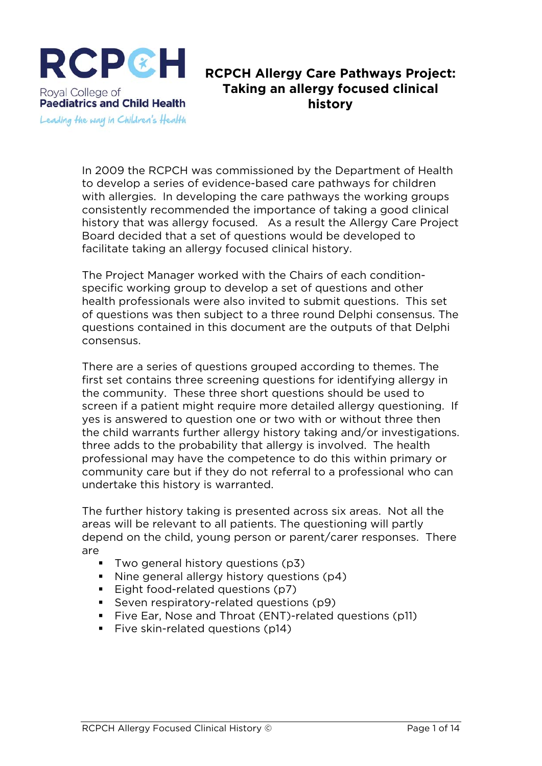

## **RCPCH Allergy Care Pathways Project: Taking an allergy focused clinical history**

In 2009 the RCPCH was commissioned by the Department of Health to develop a series of evidence-based care pathways for children with allergies. In developing the care pathways the working groups consistently recommended the importance of taking a good clinical history that was allergy focused. As a result the Allergy Care Project Board decided that a set of questions would be developed to facilitate taking an allergy focused clinical history.

The Project Manager worked with the Chairs of each conditionspecific working group to develop a set of questions and other health professionals were also invited to submit questions. This set of questions was then subject to a three round Delphi consensus. The questions contained in this document are the outputs of that Delphi consensus.

There are a series of questions grouped according to themes. The first set contains three screening questions for identifying allergy in the community. These three short questions should be used to screen if a patient might require more detailed allergy questioning. If yes is answered to question one or two with or without three then the child warrants further allergy history taking and/or investigations. three adds to the probability that allergy is involved. The health professional may have the competence to do this within primary or community care but if they do not referral to a professional who can undertake this history is warranted.

The further history taking is presented across six areas. Not all the areas will be relevant to all patients. The questioning will partly depend on the child, young person or parent/carer responses. There are

- **Two general history questions (p3)**
- Nine general allergy history questions (p4)
- Eight food-related questions (p7)
- Seven respiratory-related questions (p9)
- Five Ear, Nose and Throat (ENT)-related questions (p11)
- **Five skin-related questions (p14)**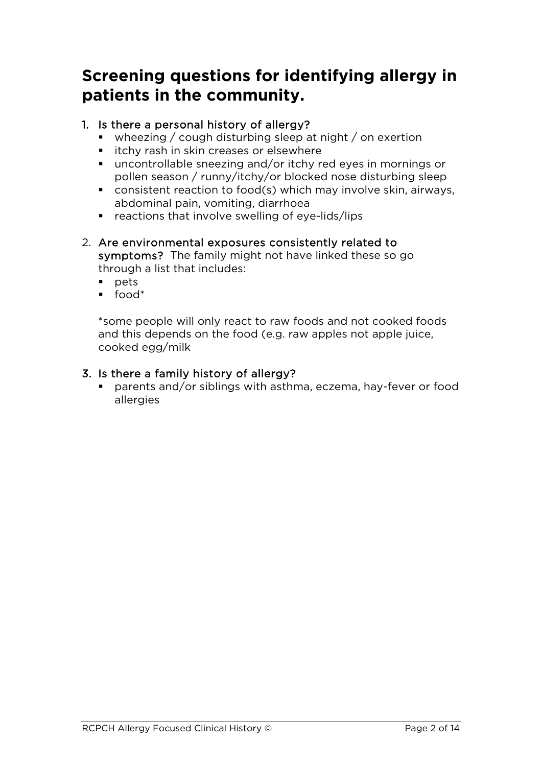# **Screening questions for identifying allergy in patients in the community.**

## 1. Is there a personal history of allergy?

- wheezing / cough disturbing sleep at night / on exertion
- **EXT** itchy rash in skin creases or elsewhere
- uncontrollable sneezing and/or itchy red eyes in mornings or pollen season / runny/itchy/or blocked nose disturbing sleep
- consistent reaction to food(s) which may involve skin, airways, abdominal pain, vomiting, diarrhoea
- $r_{\text{reactions}}$  that involve swelling of eye-lids/lips
- 2. Are environmental exposures consistently related to symptoms? The family might not have linked these so go through a list that includes:
	- $po$  pets
	- $\blacksquare$  food\*

\*some people will only react to raw foods and not cooked foods and this depends on the food (e.g. raw apples not apple juice, cooked egg/milk

## 3. Is there a family history of allergy?

 parents and/or siblings with asthma, eczema, hay-fever or food allergies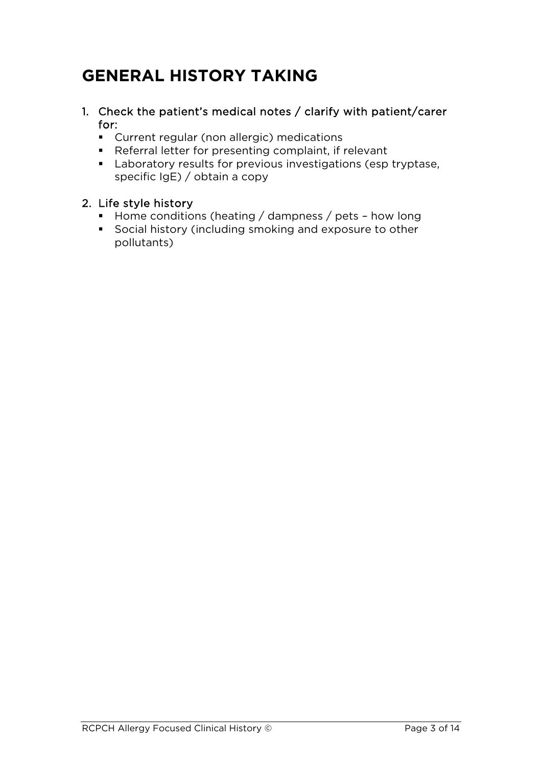# **GENERAL HISTORY TAKING**

- 1. Check the patient's medical notes / clarify with patient/carer for:
	- Current regular (non allergic) medications
	- Referral letter for presenting complaint, if relevant
	- **Laboratory results for previous investigations (esp tryptase,** specific IgE) / obtain a copy

## 2. Life style history

- Home conditions (heating / dampness / pets how long
- Social history (including smoking and exposure to other pollutants)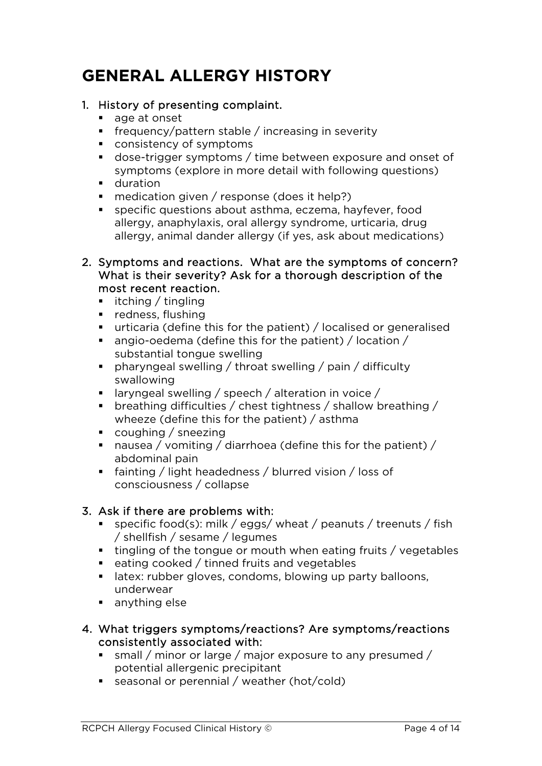# **GENERAL ALLERGY HISTORY**

#### 1. History of presenting complaint.

- age at onset
- Figure frequency/pattern stable / increasing in severity
- consistency of symptoms
- dose-trigger symptoms / time between exposure and onset of symptoms (explore in more detail with following questions)
- **duration**
- medication given / response (does it help?)
- specific questions about asthma, eczema, hayfever, food allergy, anaphylaxis, oral allergy syndrome, urticaria, drug allergy, animal dander allergy (if yes, ask about medications)
- 2. Symptoms and reactions. What are the symptoms of concern? What is their severity? Ask for a thorough description of the most recent reaction.
	- $\blacksquare$  itching / tingling
	- $reduess.$  flushing
	- urticaria (define this for the patient) / localised or generalised
	- angio-oedema (define this for the patient) / location / substantial tongue swelling
	- pharyngeal swelling / throat swelling / pain / difficulty swallowing
	- **I** laryngeal swelling / speech / alteration in voice /
	- breathing difficulties / chest tightness / shallow breathing / wheeze (define this for the patient) / asthma
	- coughing / sneezing
	- nausea / vomiting / diarrhoea (define this for the patient) / abdominal pain
	- fainting / light headedness / blurred vision / loss of consciousness / collapse

## 3. Ask if there are problems with:

- specific food(s): milk / eggs/ wheat / peanuts / treenuts / fish / shellfish / sesame / legumes
- tingling of the tongue or mouth when eating fruits / vegetables
- eating cooked / tinned fruits and vegetables
- **EXECT:** rubber gloves, condoms, blowing up party balloons, underwear
- **anything else**
- 4. What triggers symptoms/reactions? Are symptoms/reactions consistently associated with:
	- small / minor or large / major exposure to any presumed / potential allergenic precipitant
	- seasonal or perennial / weather (hot/cold)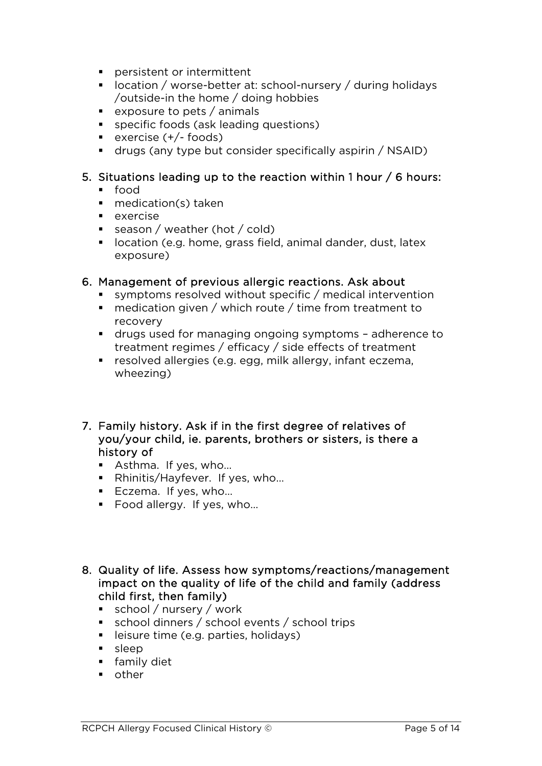- **Pear persistent or intermittent**
- location / worse-better at: school-nursery / during holidays /outside-in the home / doing hobbies
- **exposure to pets / animals**
- specific foods (ask leading questions)
- $\bullet$  exercise (+/- foods)
- drugs (any type but consider specifically aspirin / NSAID)

#### 5. Situations leading up to the reaction within 1 hour / 6 hours:

- food
- medication(s) taken
- $\blacksquare$  exercise
- season / weather (hot / cold)
- **IDECATE:** location (e.g. home, grass field, animal dander, dust, latex exposure)

#### 6. Management of previous allergic reactions. Ask about

- symptoms resolved without specific / medical intervention
- medication given / which route / time from treatment to recovery
- drugs used for managing ongoing symptoms adherence to treatment regimes / efficacy / side effects of treatment
- resolved allergies (e.g. egg, milk allergy, infant eczema, wheezing)
- 7. Family history. Ask if in the first degree of relatives of you/your child, ie. parents, brothers or sisters, is there a history of
	- Asthma. If yes, who...
	- Rhinitis/Hayfever. If yes, who...
	- Eczema. If yes, who...
	- Food allergy. If yes, who...
- 8. Quality of life. Assess how symptoms/reactions/management impact on the quality of life of the child and family (address child first, then family)
	- $\bullet$  school / nursery / work
	- school dinners / school events / school trips
	- **EXTE:** leisure time (e.g. parties, holidays)
	- sleep
	- **family diet**
	- **n** other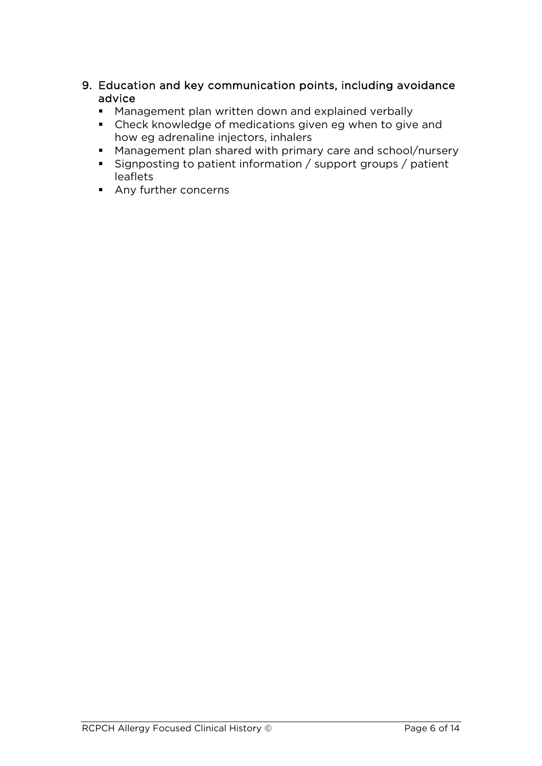- 9. Education and key communication points, including avoidance advice
	- **Management plan written down and explained verbally**
	- Check knowledge of medications given eg when to give and how eg adrenaline injectors, inhalers
	- Management plan shared with primary care and school/nursery
	- Signposting to patient information / support groups / patient leaflets
	- **Any further concerns**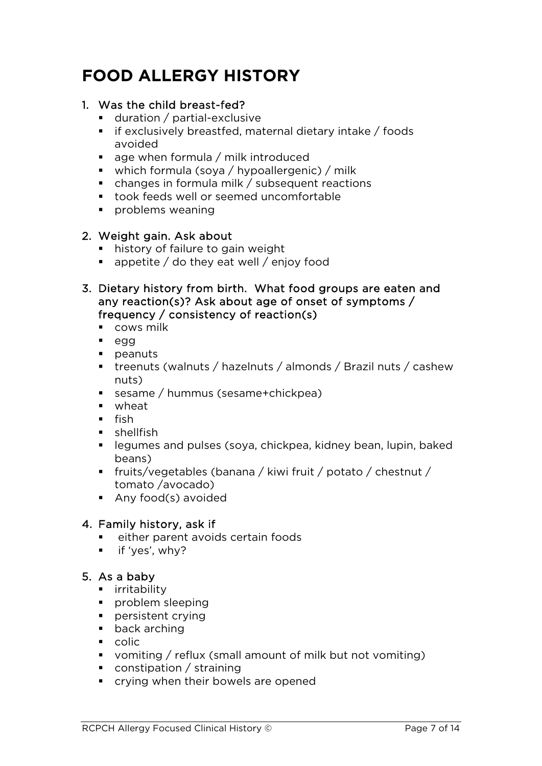# **FOOD ALLERGY HISTORY**

#### 1. Was the child breast-fed?

- **duration** / partial-exclusive
- $\blacksquare$  if exclusively breastfed, maternal dietary intake / foods avoided
- $\blacksquare$  age when formula / milk introduced
- which formula (soya / hypoallergenic) / milk
- changes in formula milk / subsequent reactions
- took feeds well or seemed uncomfortable
- **problems weaning**

#### 2. Weight gain. Ask about

- **history of failure to gain weight**
- $\blacksquare$  appetite / do they eat well / enjoy food
- 3. Dietary history from birth. What food groups are eaten and any reaction(s)? Ask about age of onset of symptoms / frequency / consistency of reaction(s)
	- **cows milk**
	- egg
	- **peanuts**
	- treenuts (walnuts / hazelnuts / almonds / Brazil nuts / cashew nuts)
	- sesame / hummus (sesame+chickpea)
	- wheat
	- $\blacksquare$  fish
	- $\blacksquare$ shellfish
	- legumes and pulses (soya, chickpea, kidney bean, lupin, baked beans)
	- fruits/vegetables (banana / kiwi fruit / potato / chestnut / tomato /avocado)
	- **Any food(s) avoided**

#### 4. Family history, ask if

- either parent avoids certain foods
- **if** 'yes', why?

## 5. As a baby

- **E** irritability
- **problem sleeping**
- persistent crying
- **back arching**
- **colic**
- vomiting / reflux (small amount of milk but not vomiting)
- constipation / straining
- crying when their bowels are opened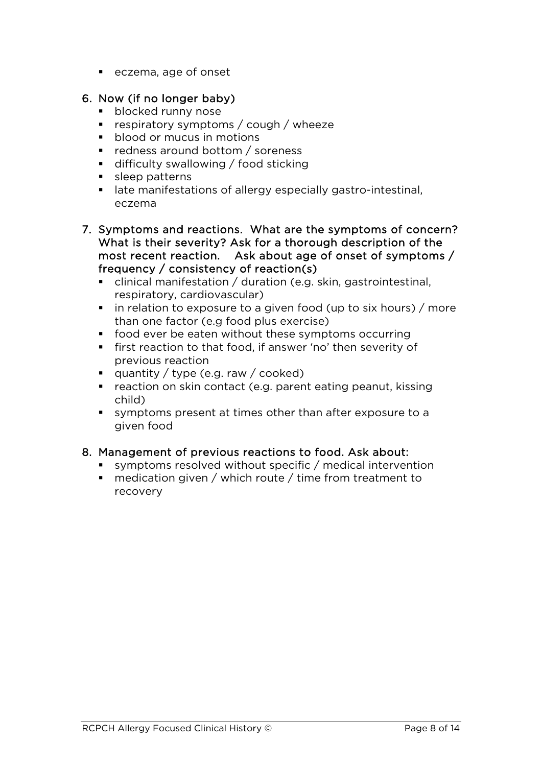eczema, age of onset

#### 6. Now (if no longer baby)

- **blocked runny nose**
- respiratory symptoms / cough / wheeze
- **blood or mucus in motions**
- redness around bottom / soreness
- **difficulty swallowing / food sticking**
- **sleep patterns**
- late manifestations of allergy especially gastro-intestinal, eczema
- 7. Symptoms and reactions. What are the symptoms of concern? What is their severity? Ask for a thorough description of the most recent reaction. Ask about age of onset of symptoms / frequency / consistency of reaction(s)
	- clinical manifestation / duration (e.g. skin, gastrointestinal, respiratory, cardiovascular)
	- $\blacksquare$  in relation to exposure to a given food (up to six hours) / more than one factor (e.g food plus exercise)
	- food ever be eaten without these symptoms occurring
	- **first reaction to that food, if answer 'no' then severity of** previous reaction
	- quantity / type (e.g. raw / cooked)
	- reaction on skin contact (e.g. parent eating peanut, kissing child)
	- symptoms present at times other than after exposure to a given food

## 8. Management of previous reactions to food. Ask about:

- symptoms resolved without specific / medical intervention
- medication given / which route / time from treatment to recovery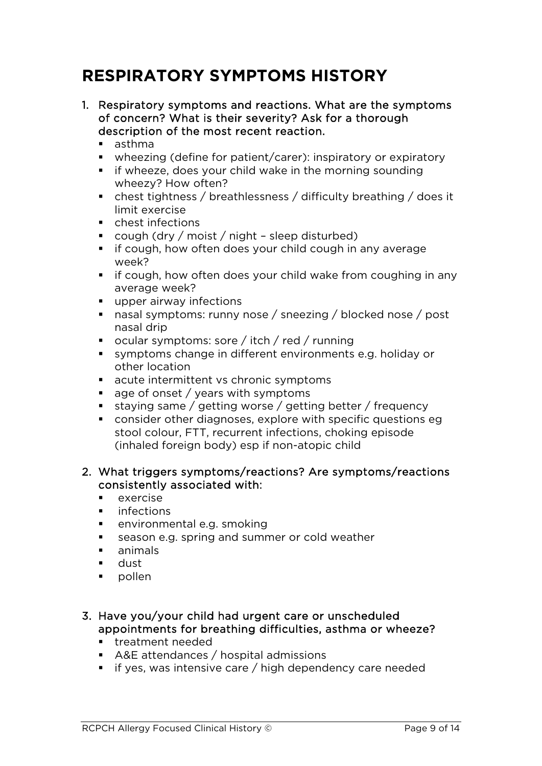## **RESPIRATORY SYMPTOMS HISTORY**

- 1. Respiratory symptoms and reactions. What are the symptoms of concern? What is their severity? Ask for a thorough description of the most recent reaction.
	- asthma
	- wheezing (define for patient/carer): inspiratory or expiratory
	- **i** if wheeze, does your child wake in the morning sounding wheezy? How often?
	- chest tightness / breathlessness / difficulty breathing / does it limit exercise
	- **EXECUTE:** chest infections
	- cough (dry / moist / night sleep disturbed)
	- **i** if cough, how often does your child cough in any average week?
	- $\blacksquare$  if cough, how often does your child wake from coughing in any average week?
	- **upper airway infections**
	- nasal symptoms: runny nose / sneezing / blocked nose / post nasal drip
	- ocular symptoms: sore / itch / red / running
	- symptoms change in different environments e.g. holiday or other location
	- acute intermittent vs chronic symptoms
	- $\blacksquare$  age of onset / years with symptoms
	- staying same / getting worse / getting better / frequency
	- consider other diagnoses, explore with specific questions eg stool colour, FTT, recurrent infections, choking episode (inhaled foreign body) esp if non-atopic child

#### 2. What triggers symptoms/reactions? Are symptoms/reactions consistently associated with:

- $e$  exercise
- infections
- environmental e.g. smoking
- season e.g. spring and summer or cold weather
- animals
- **dust**
- **pollen**

#### 3. Have you/your child had urgent care or unscheduled appointments for breathing difficulties, asthma or wheeze?

- **treatment needed**
- A&E attendances / hospital admissions
- $\blacksquare$  if yes, was intensive care / high dependency care needed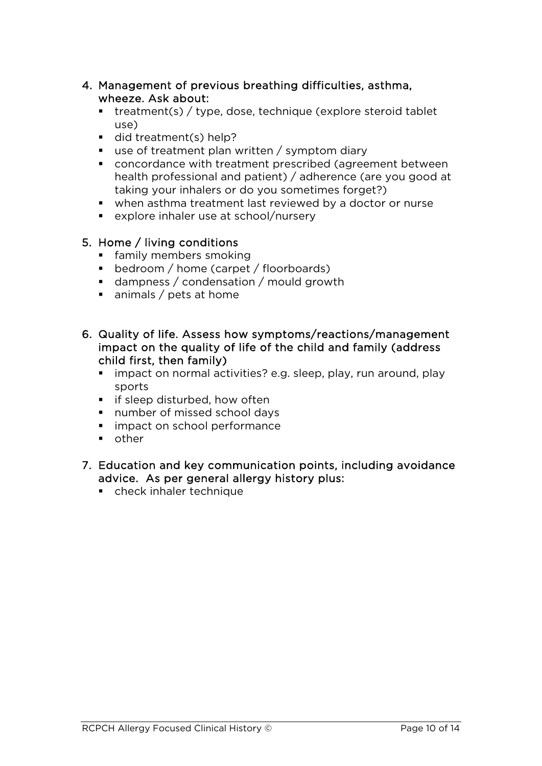#### 4. Management of previous breathing difficulties, asthma, wheeze. Ask about:

- $\blacksquare$  treatment(s) / type, dose, technique (explore steroid tablet use)
- did treatment(s) help?
- $\blacksquare$  use of treatment plan written / symptom diary
- concordance with treatment prescribed (agreement between health professional and patient) / adherence (are you good at taking your inhalers or do you sometimes forget?)
- when asthma treatment last reviewed by a doctor or nurse
- explore inhaler use at school/nursery

## 5. Home / living conditions

- **family members smoking**
- **bedroom** / home (carpet / floorboards)
- dampness / condensation / mould growth
- animals / pets at home
- 6. Quality of life. Assess how symptoms/reactions/management impact on the quality of life of the child and family (address child first, then family)
	- **i** impact on normal activities? e.g. sleep, play, run around, play sports
	- **F** if sleep disturbed, how often
	- number of missed school days
	- **impact on school performance**
	- **n** other
- 7. Education and key communication points, including avoidance advice. As per general allergy history plus:
	- check inhaler technique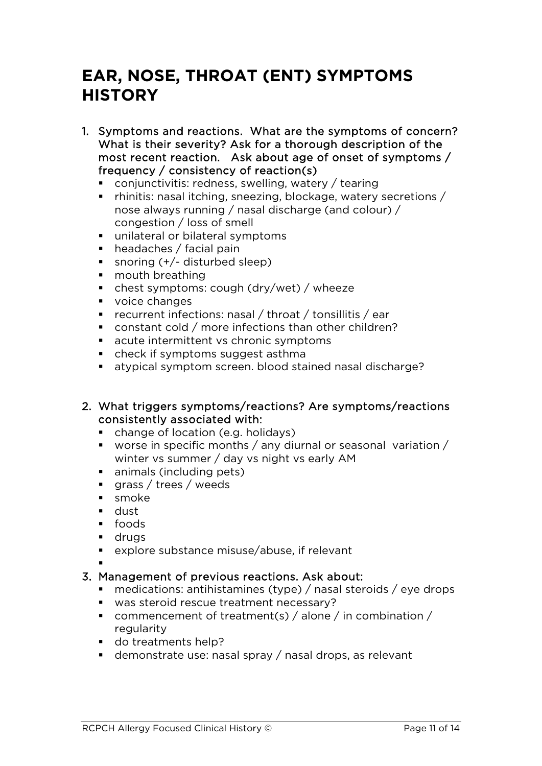## **EAR, NOSE, THROAT (ENT) SYMPTOMS HISTORY**

- 1. Symptoms and reactions. What are the symptoms of concern? What is their severity? Ask for a thorough description of the most recent reaction. Ask about age of onset of symptoms / frequency / consistency of reaction(s)
	- conjunctivitis: redness, swelling, watery / tearing
	- rhinitis: nasal itching, sneezing, blockage, watery secretions / nose always running / nasal discharge (and colour) / congestion / loss of smell
	- unilateral or bilateral symptoms
	- headaches / facial pain
	- snoring  $(+/-$  disturbed sleep)
	- **mouth breathing**
	- chest symptoms: cough (dry/wet) / wheeze
	- voice changes
	- recurrent infections: nasal / throat / tonsillitis / ear
	- constant cold / more infections than other children?
	- **EXECUTE:** acute intermittent vs chronic symptoms
	- check if symptoms suggest asthma
	- atypical symptom screen. blood stained nasal discharge?

#### 2. What triggers symptoms/reactions? Are symptoms/reactions consistently associated with:

- change of location (e.g. holidays)
- worse in specific months / any diurnal or seasonal variation / winter vs summer / day vs night vs early AM
- **animals (including pets)**
- **qrass / trees / weeds**
- **smoke**
- dust
- foods
- **drugs**
- explore substance misuse/abuse, if relevant

.

#### 3. Management of previous reactions. Ask about:

- medications: antihistamines (type) / nasal steroids / eye drops
- was steroid rescue treatment necessary?
- commencement of treatment(s) / alone / in combination / regularity
- do treatments help?
- demonstrate use: nasal spray / nasal drops, as relevant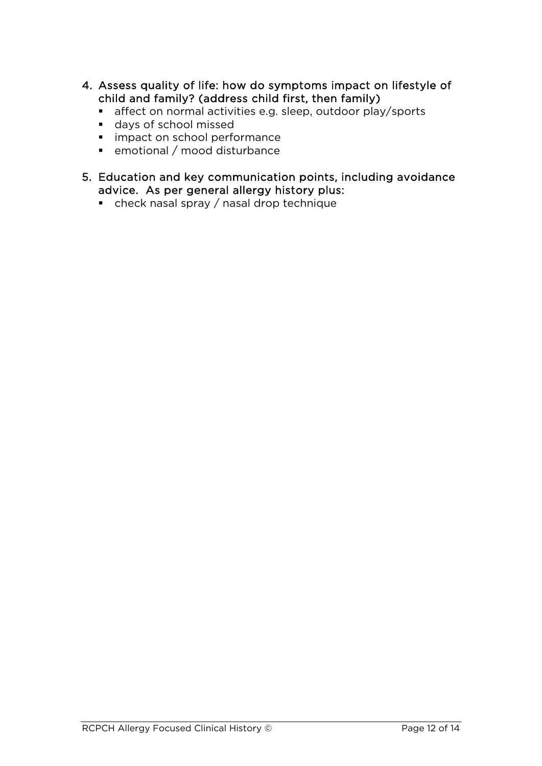- 4. Assess quality of life: how do symptoms impact on lifestyle of child and family? (address child first, then family)
	- affect on normal activities e.g. sleep, outdoor play/sports
	- days of school missed
	- **·** impact on school performance
	- emotional / mood disturbance
- 5. Education and key communication points, including avoidance advice. As per general allergy history plus:
	- check nasal spray / nasal drop technique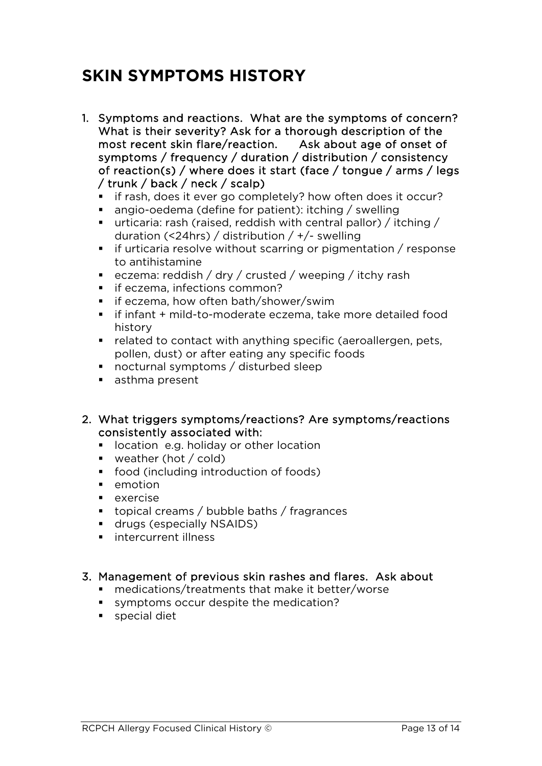## **SKIN SYMPTOMS HISTORY**

- 1. Symptoms and reactions. What are the symptoms of concern? What is their severity? Ask for a thorough description of the most recent skin flare/reaction. Ask about age of onset of symptoms / frequency / duration / distribution / consistency of reaction(s) / where does it start (face / tongue / arms / legs / trunk / back / neck / scalp)
	- **i** if rash, does it ever go completely? how often does it occur?
	- angio-oedema (define for patient): itching / swelling
	- urticaria: rash (raised, reddish with central pallor) / itching / duration (<24hrs) / distribution / +/- swelling
	- $\blacksquare$  if urticaria resolve without scarring or pigmentation / response to antihistamine
	- eczema: reddish / dry / crusted / weeping / itchy rash
	- **i** if eczema, infections common?
	- $\blacksquare$  if eczema, how often bath/shower/swim
	- if infant + mild-to-moderate eczema, take more detailed food history
	- related to contact with anything specific (aeroallergen, pets, pollen, dust) or after eating any specific foods
	- nocturnal symptoms / disturbed sleep
	- **asthma present**
- 2. What triggers symptoms/reactions? Are symptoms/reactions consistently associated with:
	- **I** location e.g. holiday or other location
	- **weather (hot / cold)**
	- food (including introduction of foods)
	- $\blacksquare$  emotion
	- $exercise$
	- topical creams / bubble baths / fragrances
	- **drugs (especially NSAIDS)**
	- **intercurrent illness**

#### 3. Management of previous skin rashes and flares. Ask about

- medications/treatments that make it better/worse
- symptoms occur despite the medication?
- special diet